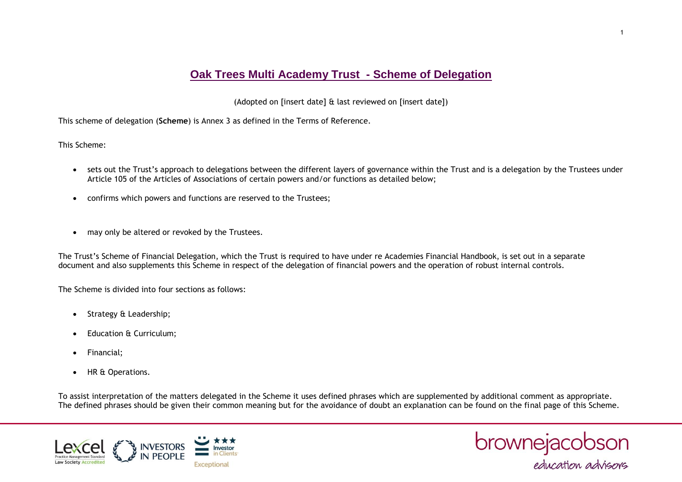## **Oak Trees Multi Academy Trust - Scheme of Delegation**

(Adopted on [insert date] & last reviewed on [insert date])

This scheme of delegation (**Scheme**) is Annex 3 as defined in the Terms of Reference.

This Scheme:

- sets out the Trust's approach to delegations between the different layers of governance within the Trust and is a delegation by the Trustees under Article 105 of the Articles of Associations of certain powers and/or functions as detailed below;
- confirms which powers and functions are reserved to the Trustees;
- may only be altered or revoked by the Trustees.

The Trust's Scheme of Financial Delegation, which the Trust is required to have under re Academies Financial Handbook, is set out in a separate document and also supplements this Scheme in respect of the delegation of financial powers and the operation of robust internal controls.

The Scheme is divided into four sections as follows:

- Strategy & Leadership;
- Education & Curriculum;
- Financial;
- HR & Operations.

To assist interpretation of the matters delegated in the Scheme it uses defined phrases which are supplemented by additional comment as appropriate. The defined phrases should be given their common meaning but for the avoidance of doubt an explanation can be found on the final page of this Scheme.



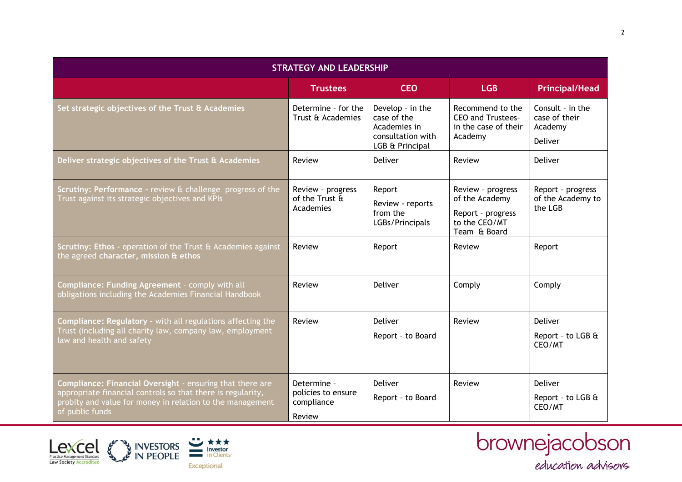| <b>STRATEGY AND LEADERSHIP</b>                                                                                                                                                                           |                                                           |                                                                                         |                                                                                           |                                                         |
|----------------------------------------------------------------------------------------------------------------------------------------------------------------------------------------------------------|-----------------------------------------------------------|-----------------------------------------------------------------------------------------|-------------------------------------------------------------------------------------------|---------------------------------------------------------|
|                                                                                                                                                                                                          | <b>Trustees</b>                                           | <b>CEO</b>                                                                              | <b>LGB</b>                                                                                | <b>Principal/Head</b>                                   |
| Set strategic objectives of the Trust & Academies                                                                                                                                                        | Determine - for the<br>Trust & Academies                  | Develop - in the<br>case of the<br>Academies in<br>consultation with<br>LGB & Principal | Recommend to the<br>CEO and Trustees-<br>in the case of their<br>Academy                  | Consult - in the<br>case of their<br>Academy<br>Deliver |
| Deliver strategic objectives of the Trust & Academies                                                                                                                                                    | Review                                                    | <b>Deliver</b>                                                                          | Review                                                                                    | Deliver                                                 |
| Scrutiny: Performance - review & challenge progress of the<br>Trust against its strategic objectives and KPIs                                                                                            | Review - progress<br>of the Trust &<br>Academies          | Report<br>Review - reports<br>from the<br>LGBs/Principals                               | Review - progress<br>of the Academy<br>Report - progress<br>to the CEO/MT<br>Team & Board | Report - progress<br>of the Academy to<br>the LGB       |
| Scrutiny: Ethos - operation of the Trust & Academies against<br>the agreed character, mission & ethos                                                                                                    | Review                                                    | Report                                                                                  | Review                                                                                    | Report                                                  |
| Compliance: Funding Agreement - comply with all<br>obligations including the Academies Financial Handbook                                                                                                | Review                                                    | <b>Deliver</b>                                                                          | Comply                                                                                    | Comply                                                  |
| <b>Compliance: Regulatory - with all regulations affecting the</b><br>Trust (including all charity law, company law, employment<br>law and health and safety                                             | Review                                                    | <b>Deliver</b><br>Report - to Board                                                     | Review                                                                                    | Deliver<br>Report - to LGB &<br>CEO/MT                  |
| Compliance: Financial Oversight - ensuring that there are<br>appropriate financial controls so that there is regularity,<br>probity and value for money in relation to the management<br>of public funds | Determine -<br>policies to ensure<br>compliance<br>Review | <b>Deliver</b><br>Report - to Board                                                     | Review                                                                                    | Deliver<br>Report - to LGB &<br>CEO/MT                  |



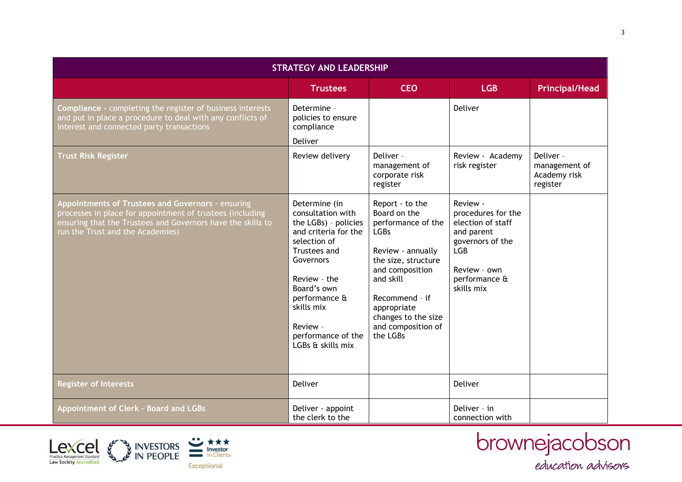| <b>STRATEGY AND LEADERSHIP</b>                                                                                                                                                                                    |                                                                                                                                                                                                                                                      |                                                                                                                                                                                                                                            |                                                                                                                                                    |                                                        |
|-------------------------------------------------------------------------------------------------------------------------------------------------------------------------------------------------------------------|------------------------------------------------------------------------------------------------------------------------------------------------------------------------------------------------------------------------------------------------------|--------------------------------------------------------------------------------------------------------------------------------------------------------------------------------------------------------------------------------------------|----------------------------------------------------------------------------------------------------------------------------------------------------|--------------------------------------------------------|
|                                                                                                                                                                                                                   | <b>Trustees</b>                                                                                                                                                                                                                                      | <b>CEO</b>                                                                                                                                                                                                                                 | <b>LGB</b>                                                                                                                                         | <b>Principal/Head</b>                                  |
| <b>Compliance - completing the register of business interests</b><br>and put in place a procedure to deal with any conflicts of<br>interest and connected party transactions                                      | Determine -<br>policies to ensure<br>compliance<br>Deliver                                                                                                                                                                                           |                                                                                                                                                                                                                                            | Deliver                                                                                                                                            |                                                        |
| <b>Trust Risk Register</b>                                                                                                                                                                                        | Review delivery                                                                                                                                                                                                                                      | Deliver -<br>management of<br>corporate risk<br>register                                                                                                                                                                                   | Review - Academy<br>risk register                                                                                                                  | Deliver -<br>management of<br>Academy risk<br>register |
| Appointments of Trustees and Governors - ensuring<br>processes in place for appointment of trustees (including<br>ensuring that the Trustees and Governors have the skills to<br>run the Trust and the Academies) | Determine (in<br>consultation with<br>the LGBs) - policies<br>and criteria for the<br>selection of<br>Trustees and<br>Governors<br>Review - the<br>Board's own<br>performance &<br>skills mix<br>Review -<br>performance of the<br>LGBs & skills mix | Report - to the<br>Board on the<br>performance of the<br><b>LGBs</b><br>Review - annually<br>the size, structure<br>and composition<br>and skill<br>Recommend - if<br>appropriate<br>changes to the size<br>and composition of<br>the LGBs | Review -<br>procedures for the<br>election of staff<br>and parent<br>governors of the<br><b>LGB</b><br>Review - own<br>performance &<br>skills mix |                                                        |
| <b>Register of Interests</b>                                                                                                                                                                                      | <b>Deliver</b>                                                                                                                                                                                                                                       |                                                                                                                                                                                                                                            | Deliver                                                                                                                                            |                                                        |
| Appointment of Clerk - Board and LGBs                                                                                                                                                                             | Deliver - appoint<br>the clerk to the                                                                                                                                                                                                                |                                                                                                                                                                                                                                            | Deliver - in<br>connection with                                                                                                                    |                                                        |



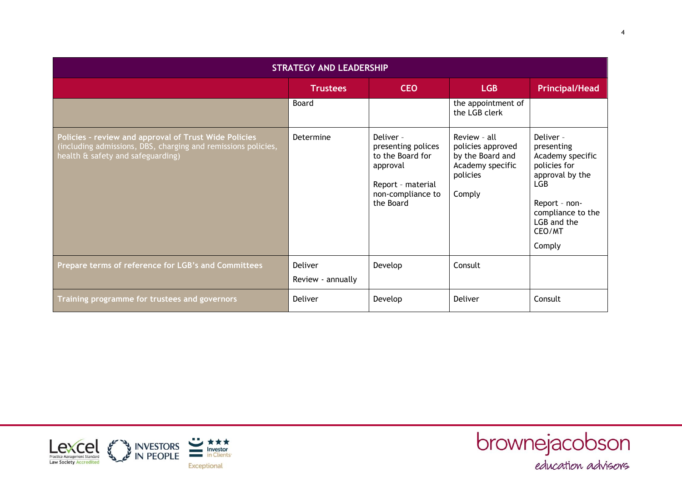| <b>STRATEGY AND LEADERSHIP</b>                                                                                                                              |                              |                                                                                                                        |                                                                                                 |                                                                                                                                                                |  |
|-------------------------------------------------------------------------------------------------------------------------------------------------------------|------------------------------|------------------------------------------------------------------------------------------------------------------------|-------------------------------------------------------------------------------------------------|----------------------------------------------------------------------------------------------------------------------------------------------------------------|--|
|                                                                                                                                                             | <b>Trustees</b>              | <b>CEO</b>                                                                                                             | <b>LGB</b>                                                                                      | <b>Principal/Head</b>                                                                                                                                          |  |
|                                                                                                                                                             | Board                        |                                                                                                                        | the appointment of<br>the LGB clerk                                                             |                                                                                                                                                                |  |
| Policies - review and approval of Trust Wide Policies<br>(including admissions, DBS, charging and remissions policies,<br>health & safety and safeguarding) | Determine                    | Deliver -<br>presenting polices<br>to the Board for<br>approval<br>Report - material<br>non-compliance to<br>the Board | Review - all<br>policies approved<br>by the Board and<br>Academy specific<br>policies<br>Comply | Deliver -<br>presenting<br>Academy specific<br>policies for<br>approval by the<br>LGB<br>Report - non-<br>compliance to the<br>LGB and the<br>CEO/MT<br>Comply |  |
| Prepare terms of reference for LGB's and Committees                                                                                                         | Deliver<br>Review - annually | Develop                                                                                                                | Consult                                                                                         |                                                                                                                                                                |  |
| Training programme for trustees and governors                                                                                                               | Deliver                      | Develop                                                                                                                | Deliver                                                                                         | Consult                                                                                                                                                        |  |



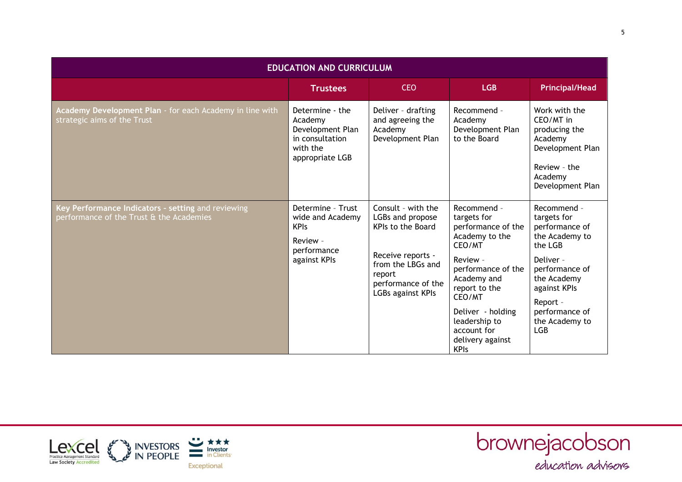| <b>EDUCATION AND CURRICULUM</b>                                                                |                                                                                                  |                                                                                                                                                            |                                                                                                                                                                                                                                                  |                                                                                                                                                                                                       |  |
|------------------------------------------------------------------------------------------------|--------------------------------------------------------------------------------------------------|------------------------------------------------------------------------------------------------------------------------------------------------------------|--------------------------------------------------------------------------------------------------------------------------------------------------------------------------------------------------------------------------------------------------|-------------------------------------------------------------------------------------------------------------------------------------------------------------------------------------------------------|--|
|                                                                                                | <b>Trustees</b>                                                                                  | <b>CEO</b>                                                                                                                                                 | <b>LGB</b>                                                                                                                                                                                                                                       | <b>Principal/Head</b>                                                                                                                                                                                 |  |
| Academy Development Plan - for each Academy in line with<br>strategic aims of the Trust        | Determine - the<br>Academy<br>Development Plan<br>in consultation<br>with the<br>appropriate LGB | Deliver - drafting<br>and agreeing the<br>Academy<br>Development Plan                                                                                      | Recommend -<br>Academy<br>Development Plan<br>to the Board                                                                                                                                                                                       | Work with the<br>CEO/MT in<br>producing the<br>Academy<br>Development Plan<br>Review - the<br>Academy<br>Development Plan                                                                             |  |
| Key Performance Indicators - setting and reviewing<br>performance of the Trust & the Academies | Determine - Trust<br>wide and Academy<br><b>KPIs</b><br>Review -<br>performance<br>against KPIs  | Consult - with the<br>LGBs and propose<br>KPIs to the Board<br>Receive reports -<br>from the LBGs and<br>report<br>performance of the<br>LGBs against KPIs | Recommend -<br>targets for<br>performance of the<br>Academy to the<br>CEO/MT<br>Review -<br>performance of the<br>Academy and<br>report to the<br>CEO/MT<br>Deliver - holding<br>leadership to<br>account for<br>delivery against<br><b>KPIs</b> | Recommend -<br>targets for<br>performance of<br>the Academy to<br>the LGB<br>Deliver -<br>performance of<br>the Academy<br>against KPIs<br>Report -<br>performance of<br>the Academy to<br><b>LGB</b> |  |



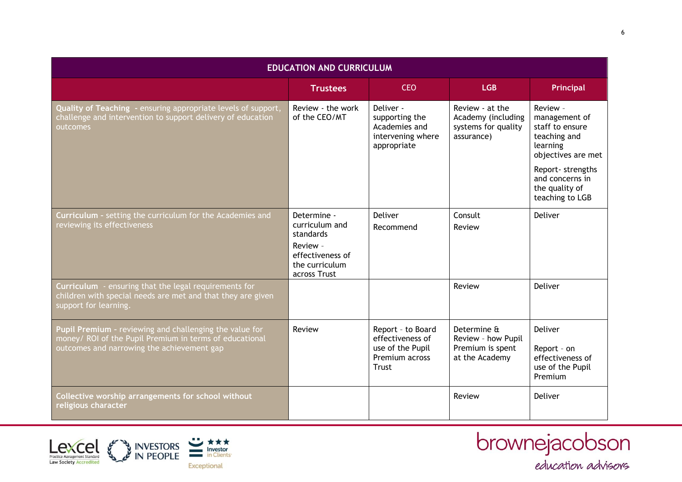| <b>EDUCATION AND CURRICULUM</b>                                                                                                                                  |                                                                |                                                                                      |                                                                            |                                                                                                |
|------------------------------------------------------------------------------------------------------------------------------------------------------------------|----------------------------------------------------------------|--------------------------------------------------------------------------------------|----------------------------------------------------------------------------|------------------------------------------------------------------------------------------------|
|                                                                                                                                                                  | <b>Trustees</b>                                                | <b>CEO</b>                                                                           | <b>LGB</b>                                                                 | Principal                                                                                      |
| Quality of Teaching - ensuring appropriate levels of support,<br>challenge and intervention to support delivery of education<br>outcomes                         | Review - the work<br>of the CEO/MT                             | Deliver -<br>supporting the<br>Academies and<br>intervening where<br>appropriate     | Review - at the<br>Academy (including<br>systems for quality<br>assurance) | Review -<br>management of<br>staff to ensure<br>teaching and<br>learning<br>objectives are met |
|                                                                                                                                                                  |                                                                |                                                                                      |                                                                            | Report- strengths<br>and concerns in<br>the quality of<br>teaching to LGB                      |
| Curriculum - setting the curriculum for the Academies and<br>reviewing its effectiveness                                                                         | Determine -<br>curriculum and<br>standards                     | <b>Deliver</b><br>Recommend                                                          | Consult<br>Review                                                          | Deliver                                                                                        |
|                                                                                                                                                                  | Review -<br>effectiveness of<br>the curriculum<br>across Trust |                                                                                      |                                                                            |                                                                                                |
| Curriculum - ensuring that the legal requirements for<br>children with special needs are met and that they are given<br>support for learning.                    |                                                                |                                                                                      | Review                                                                     | <b>Deliver</b>                                                                                 |
| Pupil Premium - reviewing and challenging the value for<br>money/ ROI of the Pupil Premium in terms of educational<br>outcomes and narrowing the achievement gap | Review                                                         | Report - to Board<br>effectiveness of<br>use of the Pupil<br>Premium across<br>Trust | Determine &<br>Review - how Pupil<br>Premium is spent<br>at the Academy    | <b>Deliver</b><br>Report - on<br>effectiveness of<br>use of the Pupil<br>Premium               |
| Collective worship arrangements for school without<br>religious character                                                                                        |                                                                |                                                                                      | Review                                                                     | Deliver                                                                                        |



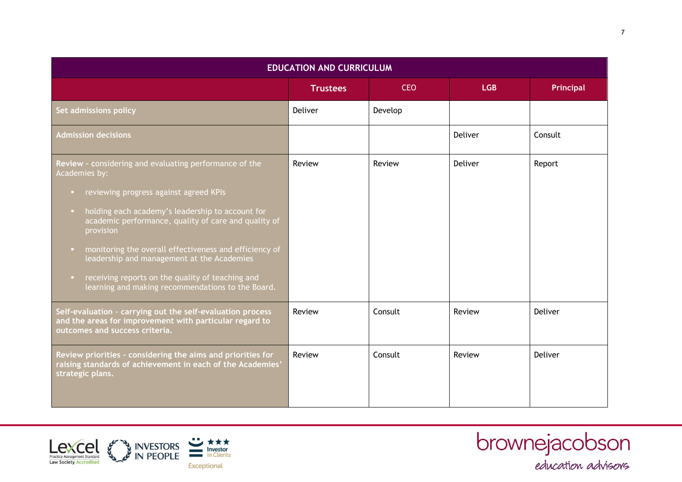| <b>EDUCATION AND CURRICULUM</b>                                                                                                                                                                                                                                                                                                                                                                                                                                                             |                 |            |            |                  |
|---------------------------------------------------------------------------------------------------------------------------------------------------------------------------------------------------------------------------------------------------------------------------------------------------------------------------------------------------------------------------------------------------------------------------------------------------------------------------------------------|-----------------|------------|------------|------------------|
|                                                                                                                                                                                                                                                                                                                                                                                                                                                                                             | <b>Trustees</b> | <b>CEO</b> | <b>LGB</b> | <b>Principal</b> |
| Set admissions policy                                                                                                                                                                                                                                                                                                                                                                                                                                                                       | Deliver         | Develop    |            |                  |
| <b>Admission decisions</b>                                                                                                                                                                                                                                                                                                                                                                                                                                                                  |                 |            | Deliver    | Consult          |
| Review - considering and evaluating performance of the<br>Academies by:<br>reviewing progress against agreed KPIs<br>o.<br>holding each academy's leadership to account for<br><b>COL</b><br>academic performance, quality of care and quality of<br>provision<br>monitoring the overall effectiveness and efficiency of<br>u.<br>leadership and management at the Academies<br>receiving reports on the quality of teaching and<br>D.<br>learning and making recommendations to the Board. | Review          | Review     | Deliver    | Report           |
| Self-evaluation - carrying out the self-evaluation process<br>and the areas for improvement with particular regard to<br>outcomes and success criteria.                                                                                                                                                                                                                                                                                                                                     | Review          | Consult    | Review     | Deliver          |
| Review priorities - considering the aims and priorities for<br>raising standards of achievement in each of the Academies'<br>strategic plans.                                                                                                                                                                                                                                                                                                                                               | Review          | Consult    | Review     | Deliver          |



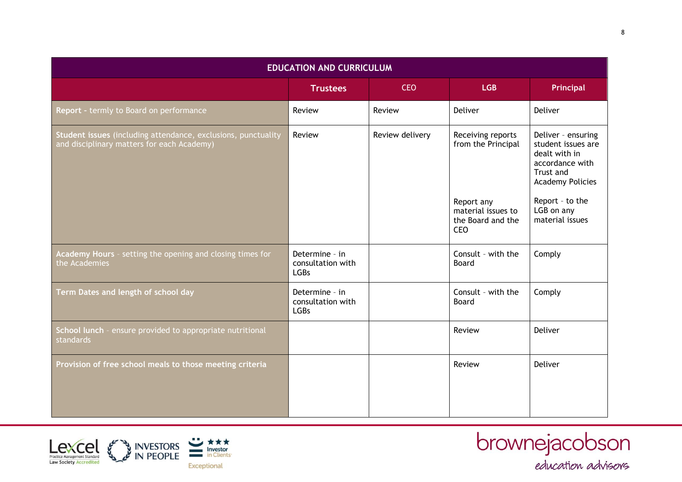| <b>EDUCATION AND CURRICULUM</b>                                                                             |                                                    |                 |                                                       |                                                                                                                                         |  |
|-------------------------------------------------------------------------------------------------------------|----------------------------------------------------|-----------------|-------------------------------------------------------|-----------------------------------------------------------------------------------------------------------------------------------------|--|
|                                                                                                             | <b>Trustees</b>                                    | <b>CEO</b>      | <b>LGB</b>                                            | Principal                                                                                                                               |  |
| Report - termly to Board on performance                                                                     | Review                                             | Review          | Deliver                                               | Deliver                                                                                                                                 |  |
| Student issues (including attendance, exclusions, punctuality<br>and disciplinary matters for each Academy) | Review                                             | Review delivery | Receiving reports<br>from the Principal<br>Report any | Deliver - ensuring<br>student issues are<br>dealt with in<br>accordance with<br>Trust and<br><b>Academy Policies</b><br>Report - to the |  |
|                                                                                                             |                                                    |                 | material issues to<br>the Board and the<br><b>CEO</b> | LGB on any<br>material issues                                                                                                           |  |
| Academy Hours - setting the opening and closing times for<br>the Academies                                  | Determine - in<br>consultation with<br><b>LGBs</b> |                 | Consult - with the<br>Board                           | Comply                                                                                                                                  |  |
| Term Dates and length of school day                                                                         | Determine - in<br>consultation with<br><b>LGBs</b> |                 | Consult - with the<br>Board                           | Comply                                                                                                                                  |  |
| School lunch - ensure provided to appropriate nutritional<br>standards                                      |                                                    |                 | Review                                                | Deliver                                                                                                                                 |  |
| Provision of free school meals to those meeting criteria                                                    |                                                    |                 | Review                                                | Deliver                                                                                                                                 |  |



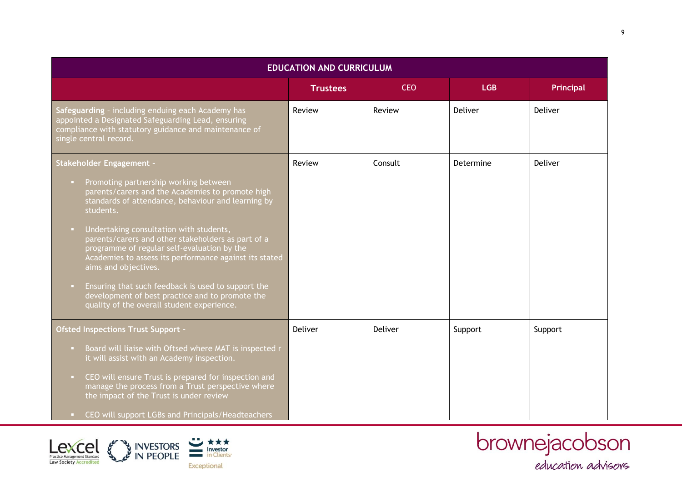| <b>EDUCATION AND CURRICULUM</b>                                                                                                                                                                                                                                                                                                                                                                                                                                                                                              |                 |            |            |                |  |
|------------------------------------------------------------------------------------------------------------------------------------------------------------------------------------------------------------------------------------------------------------------------------------------------------------------------------------------------------------------------------------------------------------------------------------------------------------------------------------------------------------------------------|-----------------|------------|------------|----------------|--|
|                                                                                                                                                                                                                                                                                                                                                                                                                                                                                                                              | <b>Trustees</b> | <b>CEO</b> | <b>LGB</b> | Principal      |  |
| Safeguarding - including enduing each Academy has<br>appointed a Designated Safeguarding Lead, ensuring<br>compliance with statutory guidance and maintenance of<br>single central record.                                                                                                                                                                                                                                                                                                                                   | Review          | Review     | Deliver    | <b>Deliver</b> |  |
| <b>Stakeholder Engagement -</b><br>Promoting partnership working between<br>$\mathbf{u}_\mathrm{c}$<br>parents/carers and the Academies to promote high<br>standards of attendance, behaviour and learning by<br>students.<br>Undertaking consultation with students,<br>$\Box$<br>parents/carers and other stakeholders as part of a<br>programme of regular self-evaluation by the<br>Academies to assess its performance against its stated<br>aims and objectives.<br>Ensuring that such feedback is used to support the | Review          | Consult    | Determine  | Deliver        |  |
| development of best practice and to promote the<br>quality of the overall student experience.                                                                                                                                                                                                                                                                                                                                                                                                                                |                 |            |            |                |  |
| <b>Ofsted Inspections Trust Support -</b>                                                                                                                                                                                                                                                                                                                                                                                                                                                                                    | Deliver         | Deliver    | Support    | Support        |  |
| Board will liaise with Oftsed where MAT is inspected r<br>D.<br>it will assist with an Academy inspection.<br>CEO will ensure Trust is prepared for inspection and<br><b>D</b><br>manage the process from a Trust perspective where<br>the impact of the Trust is under review<br>CEO will support LGBs and Principals/Headteachers                                                                                                                                                                                          |                 |            |            |                |  |



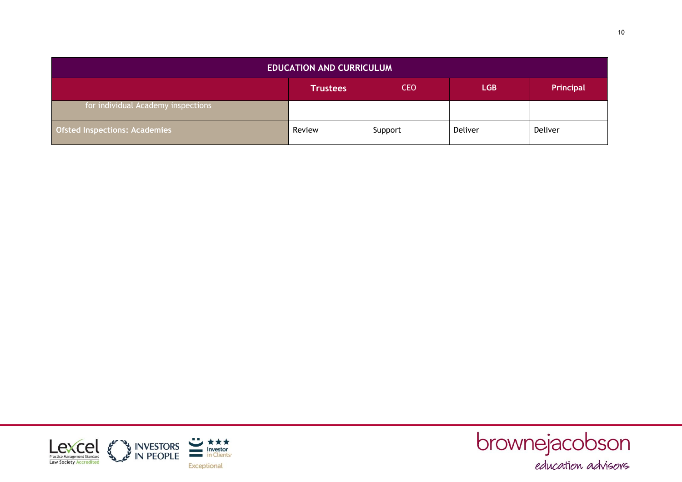| <b>EDUCATION AND CURRICULUM</b>      |                                                          |         |         |         |
|--------------------------------------|----------------------------------------------------------|---------|---------|---------|
|                                      | <b>CEO</b><br><b>LGB</b><br>Principal<br><b>Trustees</b> |         |         |         |
| for individual Academy inspections   |                                                          |         |         |         |
| <b>Ofsted Inspections: Academies</b> | Review                                                   | Support | Deliver | Deliver |



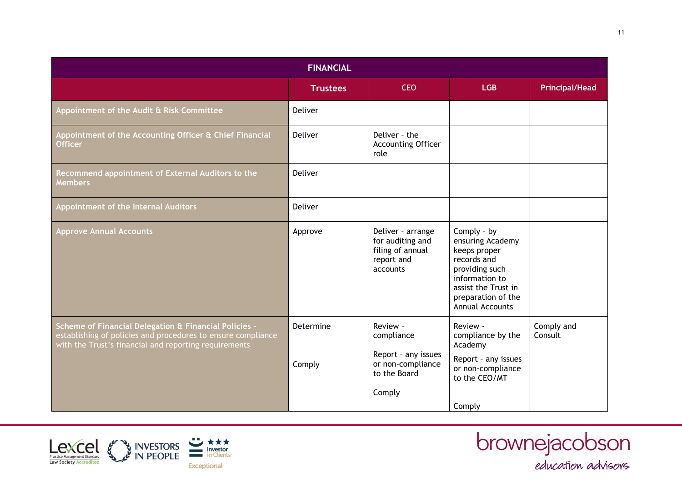| <b>FINANCIAL</b>                                                                                                                                                               |                     |                                                                                              |                                                                                                                                                                           |                       |
|--------------------------------------------------------------------------------------------------------------------------------------------------------------------------------|---------------------|----------------------------------------------------------------------------------------------|---------------------------------------------------------------------------------------------------------------------------------------------------------------------------|-----------------------|
|                                                                                                                                                                                | <b>Trustees</b>     | <b>CEO</b>                                                                                   | <b>LGB</b>                                                                                                                                                                | <b>Principal/Head</b> |
| Appointment of the Audit & Risk Committee                                                                                                                                      | Deliver             |                                                                                              |                                                                                                                                                                           |                       |
| Appointment of the Accounting Officer & Chief Financial<br><b>Officer</b>                                                                                                      | Deliver             | Deliver - the<br><b>Accounting Officer</b><br>role                                           |                                                                                                                                                                           |                       |
| Recommend appointment of External Auditors to the<br><b>Members</b>                                                                                                            | Deliver             |                                                                                              |                                                                                                                                                                           |                       |
| Appointment of the Internal Auditors                                                                                                                                           | Deliver             |                                                                                              |                                                                                                                                                                           |                       |
| <b>Approve Annual Accounts</b>                                                                                                                                                 | Approve             | Deliver - arrange<br>for auditing and<br>filing of annual<br>report and<br>accounts          | Comply - by<br>ensuring Academy<br>keeps proper<br>records and<br>providing such<br>information to<br>assist the Trust in<br>preparation of the<br><b>Annual Accounts</b> |                       |
| Scheme of Financial Delegation & Financial Policies -<br>establishing of policies and procedures to ensure compliance<br>with the Trust's financial and reporting requirements | Determine<br>Comply | Review -<br>compliance<br>Report - any issues<br>or non-compliance<br>to the Board<br>Comply | Review -<br>compliance by the<br>Academy<br>Report - any issues<br>or non-compliance<br>to the CEO/MT                                                                     | Comply and<br>Consult |
|                                                                                                                                                                                |                     |                                                                                              | Comply                                                                                                                                                                    |                       |



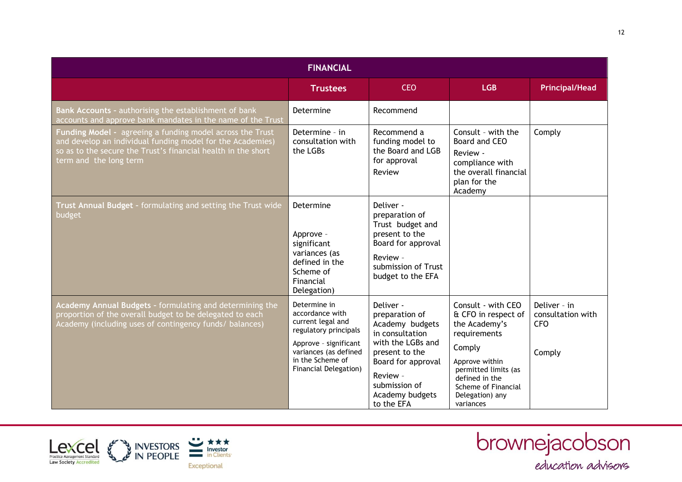| <b>FINANCIAL</b>                                                                                                                                                                                                   |                                                                                                                                                                              |                                                                                                                                                                                              |                                                                                                                                                                                                         |                                                           |  |
|--------------------------------------------------------------------------------------------------------------------------------------------------------------------------------------------------------------------|------------------------------------------------------------------------------------------------------------------------------------------------------------------------------|----------------------------------------------------------------------------------------------------------------------------------------------------------------------------------------------|---------------------------------------------------------------------------------------------------------------------------------------------------------------------------------------------------------|-----------------------------------------------------------|--|
|                                                                                                                                                                                                                    | <b>Trustees</b>                                                                                                                                                              | <b>CEO</b>                                                                                                                                                                                   | <b>LGB</b>                                                                                                                                                                                              | <b>Principal/Head</b>                                     |  |
| Bank Accounts - authorising the establishment of bank<br>accounts and approve bank mandates in the name of the Trust                                                                                               | Determine                                                                                                                                                                    | Recommend                                                                                                                                                                                    |                                                                                                                                                                                                         |                                                           |  |
| Funding Model - agreeing a funding model across the Trust<br>and develop an individual funding model for the Academies)<br>so as to the secure the Trust's financial health in the short<br>term and the long term | Determine - in<br>consultation with<br>the LGBs                                                                                                                              | Recommend a<br>funding model to<br>the Board and LGB<br>for approval<br>Review                                                                                                               | Consult - with the<br>Board and CEO<br>Review -<br>compliance with<br>the overall financial<br>plan for the<br>Academy                                                                                  | Comply                                                    |  |
| Trust Annual Budget - formulating and setting the Trust wide<br>budget                                                                                                                                             | Determine<br>Approve -<br>significant<br>variances (as<br>defined in the<br>Scheme of<br>Financial<br>Delegation)                                                            | Deliver -<br>preparation of<br>Trust budget and<br>present to the<br>Board for approval<br>Review -<br>submission of Trust<br>budget to the EFA                                              |                                                                                                                                                                                                         |                                                           |  |
| Academy Annual Budgets - formulating and determining the<br>proportion of the overall budget to be delegated to each<br>Academy (including uses of contingency funds/ balances)                                    | Determine in<br>accordance with<br>current legal and<br>regulatory principals<br>Approve - significant<br>variances (as defined<br>in the Scheme of<br>Financial Delegation) | Deliver -<br>preparation of<br>Academy budgets<br>in consultation<br>with the LGBs and<br>present to the<br>Board for approval<br>Review -<br>submission of<br>Academy budgets<br>to the EFA | Consult - with CEO<br>& CFO in respect of<br>the Academy's<br>requirements<br>Comply<br>Approve within<br>permitted limits (as<br>defined in the<br>Scheme of Financial<br>Delegation) any<br>variances | Deliver - in<br>consultation with<br><b>CFO</b><br>Comply |  |



brownejacobson<br>
education advisors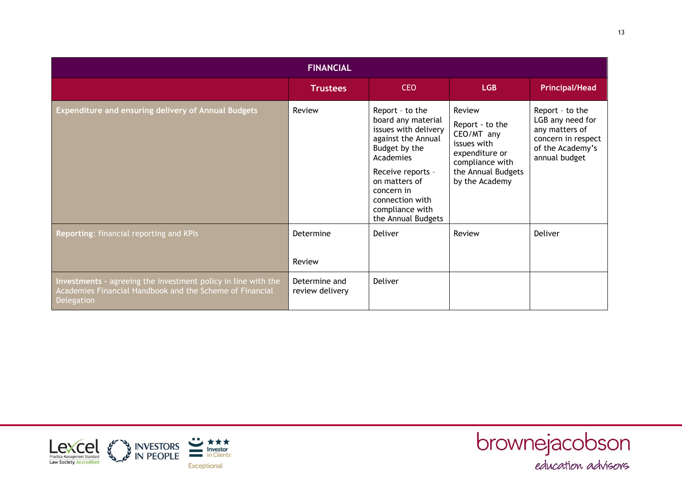| <b>FINANCIAL</b>                                                                                                                        |                                  |                                                                                                                                                                                                                                   |                                                                                                                                     |                                                                                                                  |
|-----------------------------------------------------------------------------------------------------------------------------------------|----------------------------------|-----------------------------------------------------------------------------------------------------------------------------------------------------------------------------------------------------------------------------------|-------------------------------------------------------------------------------------------------------------------------------------|------------------------------------------------------------------------------------------------------------------|
|                                                                                                                                         | <b>Trustees</b>                  | <b>CEO</b>                                                                                                                                                                                                                        | <b>LGB</b>                                                                                                                          | <b>Principal/Head</b>                                                                                            |
| Expenditure and ensuring delivery of Annual Budgets                                                                                     | Review                           | Report - to the<br>board any material<br>issues with delivery<br>against the Annual<br>Budget by the<br>Academies<br>Receive reports -<br>on matters of<br>concern in<br>connection with<br>compliance with<br>the Annual Budgets | Review<br>Report - to the<br>CEO/MT any<br>issues with<br>expenditure or<br>compliance with<br>the Annual Budgets<br>by the Academy | Report - to the<br>LGB any need for<br>any matters of<br>concern in respect<br>of the Academy's<br>annual budget |
| Reporting: financial reporting and KPIs                                                                                                 | Determine                        | <b>Deliver</b>                                                                                                                                                                                                                    | Review                                                                                                                              | Deliver                                                                                                          |
|                                                                                                                                         | Review                           |                                                                                                                                                                                                                                   |                                                                                                                                     |                                                                                                                  |
| Investments - agreeing the investment policy in line with the<br>Academies Financial Handbook and the Scheme of Financial<br>Delegation | Determine and<br>review delivery | <b>Deliver</b>                                                                                                                                                                                                                    |                                                                                                                                     |                                                                                                                  |



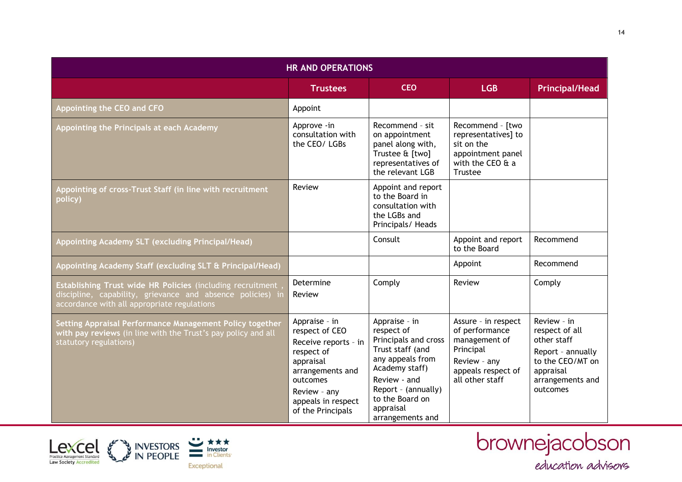| <b>HR AND OPERATIONS</b>                                                                                                                                                       |                                                                                                                                                                               |                                                                                                                                                                                                          |                                                                                                                              |                                                                                                                                    |
|--------------------------------------------------------------------------------------------------------------------------------------------------------------------------------|-------------------------------------------------------------------------------------------------------------------------------------------------------------------------------|----------------------------------------------------------------------------------------------------------------------------------------------------------------------------------------------------------|------------------------------------------------------------------------------------------------------------------------------|------------------------------------------------------------------------------------------------------------------------------------|
|                                                                                                                                                                                | <b>Trustees</b>                                                                                                                                                               | <b>CEO</b>                                                                                                                                                                                               | <b>LGB</b>                                                                                                                   | <b>Principal/Head</b>                                                                                                              |
| Appointing the CEO and CFO                                                                                                                                                     | Appoint                                                                                                                                                                       |                                                                                                                                                                                                          |                                                                                                                              |                                                                                                                                    |
| Appointing the Principals at each Academy                                                                                                                                      | Approve -in<br>consultation with<br>the CEO/LGBs                                                                                                                              | Recommend - sit<br>on appointment<br>panel along with,<br>Trustee & [two]<br>representatives of<br>the relevant LGB                                                                                      | Recommend - [two<br>representatives] to<br>sit on the<br>appointment panel<br>with the CEO & a<br>Trustee                    |                                                                                                                                    |
| Appointing of cross-Trust Staff (in line with recruitment<br>policy)                                                                                                           | Review                                                                                                                                                                        | Appoint and report<br>to the Board in<br>consultation with<br>the LGBs and<br>Principals/ Heads                                                                                                          |                                                                                                                              |                                                                                                                                    |
| Appointing Academy SLT (excluding Principal/Head)                                                                                                                              |                                                                                                                                                                               | Consult                                                                                                                                                                                                  | Appoint and report<br>to the Board                                                                                           | Recommend                                                                                                                          |
| Appointing Academy Staff (excluding SLT & Principal/Head)                                                                                                                      |                                                                                                                                                                               |                                                                                                                                                                                                          | Appoint                                                                                                                      | Recommend                                                                                                                          |
| <b>Establishing Trust wide HR Policies (including recruitment</b><br>discipline, capability, grievance and absence policies) in<br>accordance with all appropriate regulations | Determine<br>Review                                                                                                                                                           | Comply                                                                                                                                                                                                   | Review                                                                                                                       | Comply                                                                                                                             |
| Setting Appraisal Performance Management Policy together<br>with pay reviews (in line with the Trust's pay policy and all<br>statutory regulations)                            | Appraise - in<br>respect of CEO<br>Receive reports - in<br>respect of<br>appraisal<br>arrangements and<br>outcomes<br>Review - any<br>appeals in respect<br>of the Principals | Appraise - in<br>respect of<br>Principals and cross<br>Trust staff (and<br>any appeals from<br>Academy staff)<br>Review - and<br>Report - (annually)<br>to the Board on<br>appraisal<br>arrangements and | Assure - in respect<br>of performance<br>management of<br>Principal<br>Review - any<br>appeals respect of<br>all other staff | Review - in<br>respect of all<br>other staff<br>Report - annually<br>to the CEO/MT on<br>appraisal<br>arrangements and<br>outcomes |



brownejacobson<br>
education advisors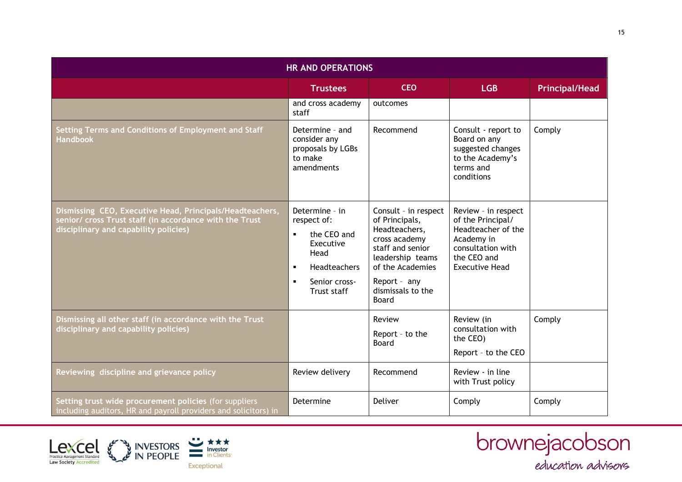| <b>HR AND OPERATIONS</b>                                                                                                                                     |                                                                                                                                                                         |                                                                                                                                                                                           |                                                                                                                                           |                       |
|--------------------------------------------------------------------------------------------------------------------------------------------------------------|-------------------------------------------------------------------------------------------------------------------------------------------------------------------------|-------------------------------------------------------------------------------------------------------------------------------------------------------------------------------------------|-------------------------------------------------------------------------------------------------------------------------------------------|-----------------------|
|                                                                                                                                                              | <b>Trustees</b>                                                                                                                                                         | <b>CEO</b>                                                                                                                                                                                | <b>LGB</b>                                                                                                                                | <b>Principal/Head</b> |
|                                                                                                                                                              | and cross academy<br>staff                                                                                                                                              | outcomes                                                                                                                                                                                  |                                                                                                                                           |                       |
| Setting Terms and Conditions of Employment and Staff<br>Handbook                                                                                             | Determine - and<br>consider any<br>proposals by LGBs<br>to make<br>amendments                                                                                           | Recommend                                                                                                                                                                                 | Consult - report to<br>Board on any<br>suggested changes<br>to the Academy's<br>terms and<br>conditions                                   | Comply                |
| Dismissing CEO, Executive Head, Principals/Headteachers,<br>senior/ cross Trust staff (in accordance with the Trust<br>disciplinary and capability policies) | Determine - in<br>respect of:<br>the CEO and<br>$\blacksquare$<br>Executive<br>Head<br>Headteachers<br>$\blacksquare$<br>Senior cross-<br>$\blacksquare$<br>Trust staff | Consult - in respect<br>of Principals,<br>Headteachers,<br>cross academy<br>staff and senior<br>leadership teams<br>of the Academies<br>Report - any<br>dismissals to the<br><b>Board</b> | Review - in respect<br>of the Principal/<br>Headteacher of the<br>Academy in<br>consultation with<br>the CEO and<br><b>Executive Head</b> |                       |
| Dismissing all other staff (in accordance with the Trust<br>disciplinary and capability policies)                                                            |                                                                                                                                                                         | Review<br>Report - to the<br>Board                                                                                                                                                        | Review (in<br>consultation with<br>the CEO)<br>Report - to the CEO                                                                        | Comply                |
| Reviewing discipline and grievance policy                                                                                                                    | Review delivery                                                                                                                                                         | Recommend                                                                                                                                                                                 | Review - in line<br>with Trust policy                                                                                                     |                       |
| Setting trust wide procurement policies (for suppliers<br>including auditors, HR and payroll providers and solicitors) in                                    | Determine                                                                                                                                                               | Deliver                                                                                                                                                                                   | Comply                                                                                                                                    | Comply                |



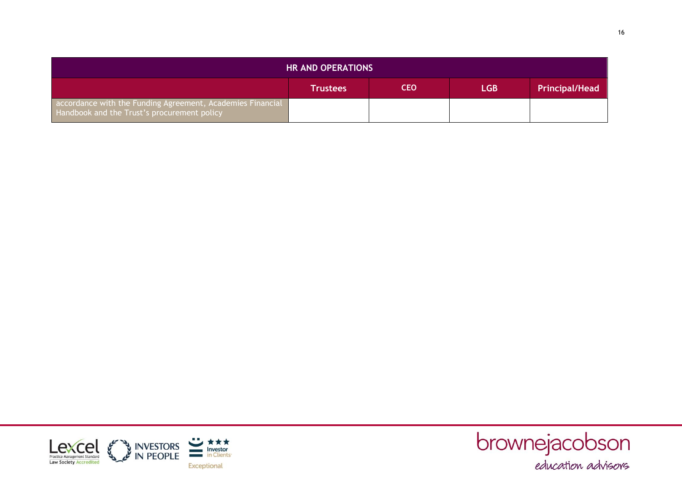| <b>HR AND OPERATIONS</b>                                                                                  |                 |            |            |                       |
|-----------------------------------------------------------------------------------------------------------|-----------------|------------|------------|-----------------------|
|                                                                                                           | <b>Trustees</b> | <b>CEO</b> | <b>LGB</b> | <b>Principal/Head</b> |
| accordance with the Funding Agreement, Academies Financial<br>Handbook and the Trust's procurement policy |                 |            |            |                       |



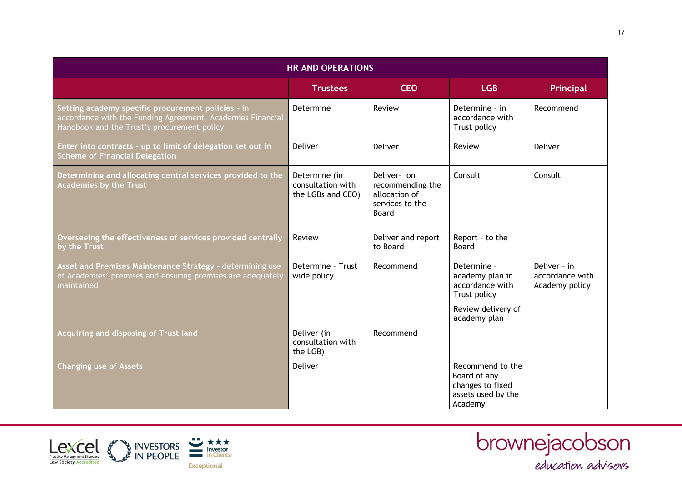| <b>HR AND OPERATIONS</b>                                                                                                                                        |                                                         |                                                                                     |                                                                                       |                                                   |
|-----------------------------------------------------------------------------------------------------------------------------------------------------------------|---------------------------------------------------------|-------------------------------------------------------------------------------------|---------------------------------------------------------------------------------------|---------------------------------------------------|
|                                                                                                                                                                 | <b>Trustees</b>                                         | <b>CEO</b>                                                                          | <b>LGB</b>                                                                            | Principal                                         |
| Setting academy specific procurement policies - in<br>accordance with the Funding Agreement, Academies Financial<br>Handbook and the Trust's procurement policy | Determine                                               | Review                                                                              | Determine - in<br>accordance with<br>Trust policy                                     | Recommend                                         |
| Enter into contracts - up to limit of delegation set out in<br><b>Scheme of Financial Delegation</b>                                                            | Deliver                                                 | Deliver                                                                             | Review                                                                                | Deliver                                           |
| Determining and allocating central services provided to the<br><b>Academies by the Trust</b>                                                                    | Determine (in<br>consultation with<br>the LGBs and CEO) | Deliver- on<br>recommending the<br>allocation of<br>services to the<br><b>Board</b> | Consult                                                                               | Consult                                           |
| Overseeing the effectiveness of services provided centrally<br>by the Trust                                                                                     | Review                                                  | Deliver and report<br>to Board                                                      | Report - to the<br>Board                                                              |                                                   |
| Asset and Premises Maintenance Strategy - determining use<br>of Academies' premises and ensuring premises are adequately<br>maintained                          | Determine - Trust<br>wide policy                        | Recommend                                                                           | Determine -<br>academy plan in<br>accordance with<br>Trust policy                     | Deliver - in<br>accordance with<br>Academy policy |
|                                                                                                                                                                 |                                                         |                                                                                     | Review delivery of<br>academy plan                                                    |                                                   |
| <b>Acquiring and disposing of Trust land</b>                                                                                                                    | Deliver (in<br>consultation with<br>the LGB)            | Recommend                                                                           |                                                                                       |                                                   |
| <b>Changing use of Assets</b>                                                                                                                                   | <b>Deliver</b>                                          |                                                                                     | Recommend to the<br>Board of any<br>changes to fixed<br>assets used by the<br>Academy |                                                   |



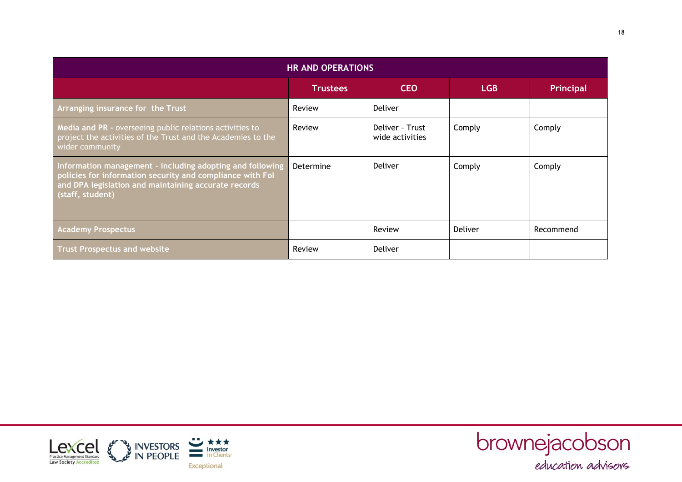| <b>HR AND OPERATIONS</b>                                                                                                                                                                           |                 |                                    |            |           |
|----------------------------------------------------------------------------------------------------------------------------------------------------------------------------------------------------|-----------------|------------------------------------|------------|-----------|
|                                                                                                                                                                                                    | <b>Trustees</b> | <b>CEO</b>                         | <b>LGB</b> | Principal |
| Arranging insurance for the Trust                                                                                                                                                                  | Review          | <b>Deliver</b>                     |            |           |
| Media and PR - overseeing public relations activities to<br>project the activities of the Trust and the Academies to the<br>wider community                                                        | Review          | Deliver - Trust<br>wide activities | Comply     | Comply    |
| Information management - including adopting and following<br>policies for information security and compliance with Fol<br>and DPA legislation and maintaining accurate records<br>(staff, student) | Determine       | <b>Deliver</b>                     | Comply     | Comply    |
| <b>Academy Prospectus</b>                                                                                                                                                                          |                 | Review                             | Deliver    | Recommend |
| <b>Trust Prospectus and website</b>                                                                                                                                                                | Review          | <b>Deliver</b>                     |            |           |